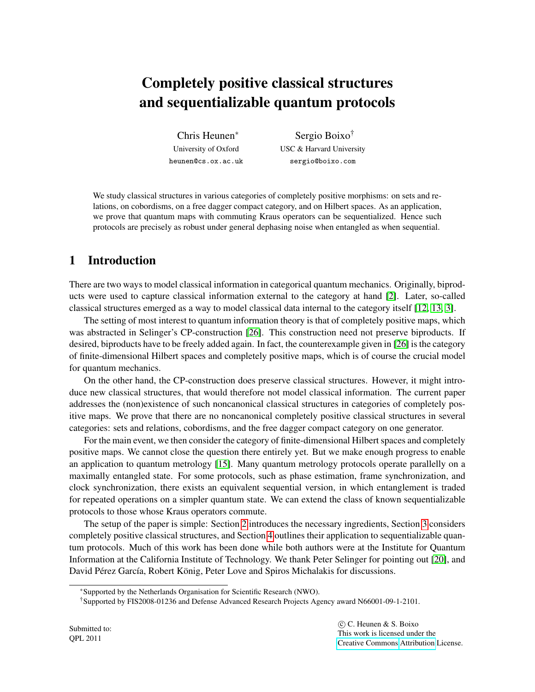# Completely positive classical structures and sequentializable quantum protocols

Chris Heunen<sup>∗</sup> University of Oxford heunen@cs.ox.ac.uk

Sergio Boixo† USC & Harvard University sergio@boixo.com

We study classical structures in various categories of completely positive morphisms: on sets and relations, on cobordisms, on a free dagger compact category, and on Hilbert spaces. As an application, we prove that quantum maps with commuting Kraus operators can be sequentialized. Hence such protocols are precisely as robust under general dephasing noise when entangled as when sequential.

## 1 Introduction

There are two ways to model classical information in categorical quantum mechanics. Originally, biproducts were used to capture classical information external to the category at hand [\[2\]](#page-9-0). Later, so-called classical structures emerged as a way to model classical data internal to the category itself [\[12,](#page-9-1) [13,](#page-9-2) [3\]](#page-9-3).

The setting of most interest to quantum information theory is that of completely positive maps, which was abstracted in Selinger's CP-construction [\[26\]](#page-10-0). This construction need not preserve biproducts. If desired, biproducts have to be freely added again. In fact, the counterexample given in [\[26\]](#page-10-0) is the category of finite-dimensional Hilbert spaces and completely positive maps, which is of course the crucial model for quantum mechanics.

On the other hand, the CP-construction does preserve classical structures. However, it might introduce new classical structures, that would therefore not model classical information. The current paper addresses the (non)existence of such noncanonical classical structures in categories of completely positive maps. We prove that there are no noncanonical completely positive classical structures in several categories: sets and relations, cobordisms, and the free dagger compact category on one generator.

For the main event, we then consider the category of finite-dimensional Hilbert spaces and completely positive maps. We cannot close the question there entirely yet. But we make enough progress to enable an application to quantum metrology [\[15\]](#page-9-4). Many quantum metrology protocols operate parallelly on a maximally entangled state. For some protocols, such as phase estimation, frame synchronization, and clock synchronization, there exists an equivalent sequential version, in which entanglement is traded for repeated operations on a simpler quantum state. We can extend the class of known sequentializable protocols to those whose Kraus operators commute.

The setup of the paper is simple: Section [2](#page-1-0) introduces the necessary ingredients, Section [3](#page-2-0) considers completely positive classical structures, and Section [4](#page-7-0) outlines their application to sequentializable quantum protocols. Much of this work has been done while both authors were at the Institute for Quantum Information at the California Institute of Technology. We thank Peter Selinger for pointing out [\[20\]](#page-9-5), and David Pérez García, Robert König, Peter Love and Spiros Michalakis for discussions.

<sup>∗</sup>Supported by the Netherlands Organisation for Scientific Research (NWO).

<sup>†</sup>Supported by FIS2008-01236 and Defense Advanced Research Projects Agency award N66001-09-1-2101.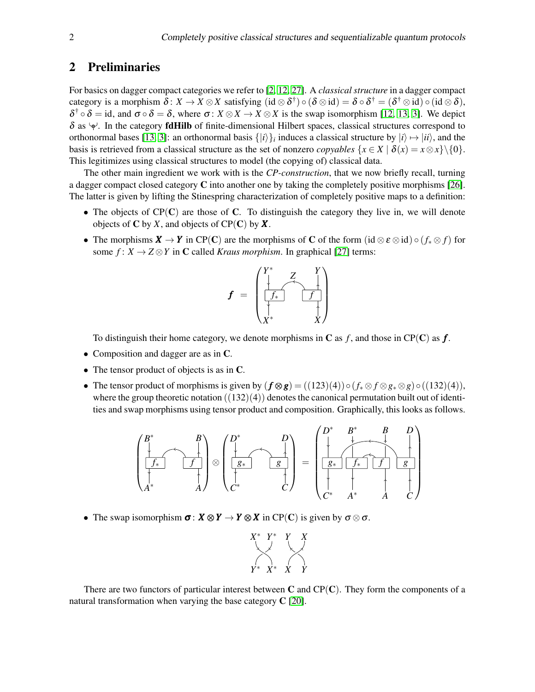## <span id="page-1-0"></span>2 Preliminaries

For basics on dagger compact categories we refer to [\[2,](#page-9-0) [12,](#page-9-1) [27\]](#page-10-1). A *classical structure* in a dagger compact category is a morphism  $\delta: X \to X \otimes X$  satisfying  $(\mathrm{id} \otimes \delta^{\dagger}) \circ (\delta \otimes \mathrm{id}) = \delta \circ \delta^{\dagger} = (\delta^{\dagger} \otimes \mathrm{id}) \circ (\mathrm{id} \otimes \delta),$  $\delta^{\dagger} \circ \delta = id$ , and  $\sigma \circ \delta = \delta$ , where  $\sigma: X \otimes X \to X \otimes X$  is the swap isomorphism [\[12,](#page-9-1) [13,](#page-9-2) [3\]](#page-9-3). We depict  $\delta$  as  $\varphi$ . In the category **fdHilb** of finite-dimensional Hilbert spaces, classical structures correspond to orthonormal bases [\[13,](#page-9-2) [3\]](#page-9-3): an orthonormal basis  $\{|i\rangle\}$ <sub>*i*</sub> induces a classical structure by  $|i\rangle \mapsto |ii\rangle$ , and the basis is retrieved from a classical structure as the set of nonzero *copyables*  $\{x \in X \mid \delta(x) = x \otimes x\} \setminus \{0\}.$ This legitimizes using classical structures to model (the copying of) classical data.

The other main ingredient we work with is the *CP-construction*, that we now briefly recall, turning a dagger compact closed category C into another one by taking the completely positive morphisms [\[26\]](#page-10-0). The latter is given by lifting the Stinespring characterization of completely positive maps to a definition:

- The objects of  $CP(C)$  are those of C. To distinguish the category they live in, we will denote objects of  $C$  by  $X$ , and objects of  $CP(C)$  by  $X$ .
- The morphisms  $X \to Y$  in CP(C) are the morphisms of C of the form (id  $\otimes \varepsilon \otimes id$ )  $\circ (f_* \otimes f)$  for some  $f: X \to Z \otimes Y$  in C called *Kraus morphism*. In graphical [\[27\]](#page-10-1) terms:



To distinguish their home category, we denote morphisms in  $C$  as  $f$ , and those in  $\text{CP}(\mathbf{C})$  as  $f$ .

- Composition and dagger are as in C.
- The tensor product of objects is as in C.
- The tensor product of morphisms is given by  $(f \otimes g) = ((123)(4)) \circ (f_* \otimes f \otimes g_* \otimes g) \circ ((132)(4)),$ where the group theoretic notation  $((132)(4))$  denotes the canonical permutation built out of identities and swap morphisms using tensor product and composition. Graphically, this looks as follows.



• The swap isomorphism  $\sigma: X \otimes Y \to Y \otimes X$  in CP(C) is given by  $\sigma \otimes \sigma$ .



<span id="page-1-1"></span>There are two functors of particular interest between  $C$  and  $CP(C)$ . They form the components of a natural transformation when varying the base category C [\[20\]](#page-9-5).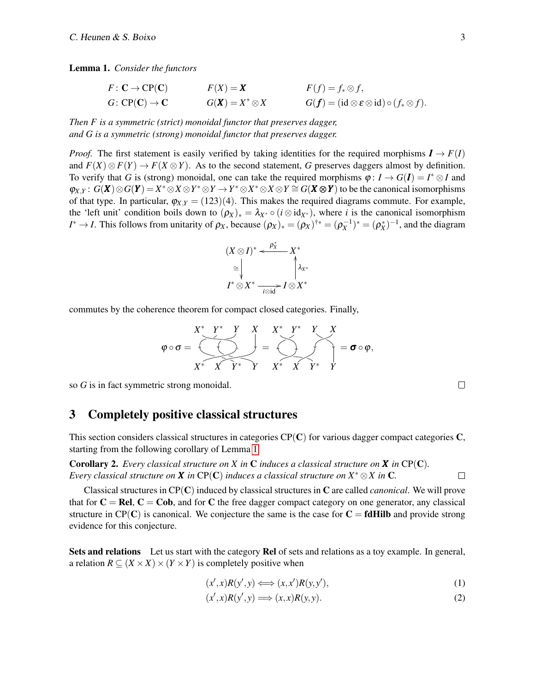Lemma 1. *Consider the functors*

$$
F: \mathbf{C} \to \mathbf{CP}(\mathbf{C})
$$
  
\n
$$
F(X) = \mathbf{X}
$$
  
\n
$$
F(f) = f_* \otimes f,
$$
  
\n
$$
G: \mathbf{CP}(\mathbf{C}) \to \mathbf{C}
$$
  
\n
$$
G(\mathbf{X}) = X^* \otimes X
$$
  
\n
$$
G(f) = (\mathrm{id} \otimes \varepsilon \otimes \mathrm{id}) \circ (f_* \otimes f).
$$

*Then F is a symmetric (strict) monoidal functor that preserves dagger, and G is a symmetric (strong) monoidal functor that preserves dagger.*

*Proof.* The first statement is easily verified by taking identities for the required morphisms  $I \rightarrow F(I)$ and  $F(X) \otimes F(Y) \to F(X \otimes Y)$ . As to the second statement, *G* preserves daggers almost by definition. To verify that *G* is (strong) monoidal, one can take the required morphisms  $\varphi: I \to G(I) = I^* \otimes I$  and  $\varphi_{X,Y}: G(X)\otimes G(Y) = X^*\otimes X\otimes Y^*\otimes Y \rightarrow Y^*\otimes X^*\otimes X\otimes Y \cong G(X\otimes Y)$  to be the canonical isomorphisms of that type. In particular,  $\varphi_{X,Y} = (123)(4)$ . This makes the required diagrams commute. For example, the 'left unit' condition boils down to  $(\rho_X)_* = \lambda_{X^*} \circ (i \otimes id_{X^*})$ , where *i* is the canonical isomorphism *I*<sup>\*</sup> → *I*. This follows from unitarity of  $\rho_X$ , because  $(\rho_X)_* = (\rho_X)^{\dagger*} = (\rho_X^{-1})^* = (\rho_X^*)^{-1}$ , and the diagram

$$
(X \otimes I)^* \xleftarrow{\rho_X^*} X^* \\
\cong \qquad \qquad \downarrow \qquad \qquad \downarrow \qquad \downarrow \downarrow \downarrow
$$
\n
$$
I^* \otimes X^* \xrightarrow[i \otimes id]{} I \otimes X^*
$$

commutes by the coherence theorem for compact closed categories. Finally,

$$
\varphi \circ \sigma = \underbrace{\begin{array}{c}\nX^* \quad Y^* \quad Y \\
\hline\n\end{array}}_{X^* \quad X \quad Y^* \quad Y \quad X^* \quad Y^* \quad Y \quad X^* \quad X \quad \sigma \circ \varphi,
$$

so *G* is in fact symmetric strong monoidal.

#### <span id="page-2-0"></span>3 Completely positive classical structures

This section considers classical structures in categories  $CP(C)$  for various dagger compact categories  $C$ , starting from the following corollary of Lemma [1.](#page-1-1)

<span id="page-2-1"></span>Corollary 2. *Every classical structure on X in* C *induces a classical structure on X in* CP(C)*. Every classical structure on X in CP(C) induces a classical structure on*  $X^* \otimes X$  *in C.*  $\Box$ 

Classical structures in CP(C) induced by classical structures in C are called *canonical*. We will prove that for  $C = Rel$ ,  $C = Cob$ , and for C the free dagger compact category on one generator, any classical structure in CP(C) is canonical. We conjecture the same is the case for  $C = f dHilb$  and provide strong evidence for this conjecture.

Sets and relations Let us start with the category Rel of sets and relations as a toy example. In general, a relation  $R \subseteq (X \times X) \times (Y \times Y)$  is completely positive when

$$
(x',x)R(y',y) \Longleftrightarrow (x,x')R(y,y'),\tag{1}
$$

$$
(x',x)R(y',y) \Longrightarrow (x,x)R(y,y). \tag{2}
$$

 $\Box$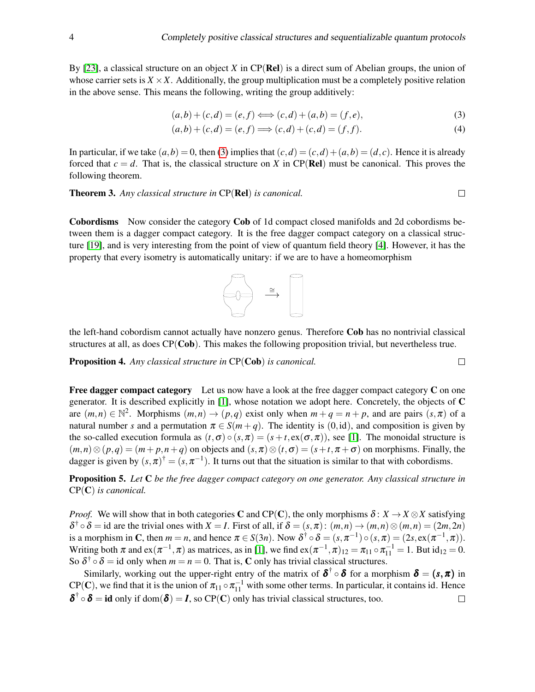By [\[23\]](#page-10-2), a classical structure on an object *X* in CP(Rel) is a direct sum of Abelian groups, the union of whose carrier sets is  $X \times X$ . Additionally, the group multiplication must be a completely positive relation in the above sense. This means the following, writing the group additively:

$$
(a,b) + (c,d) = (e,f) \Longleftrightarrow (c,d) + (a,b) = (f,e),
$$
\n(3)

$$
(a,b) + (c,d) = (e,f) \Longrightarrow (c,d) + (c,d) = (f,f). \tag{4}
$$

In particular, if we take  $(a, b) = 0$ , then [\(3\)](#page-3-0) implies that  $(c, d) = (c, d) + (a, b) = (d, c)$ . Hence it is already forced that  $c = d$ . That is, the classical structure on *X* in CP(Rel) must be canonical. This proves the following theorem.

Theorem 3. *Any classical structure in* CP(Rel) *is canonical.*

Cobordisms Now consider the category Cob of 1d compact closed manifolds and 2d cobordisms between them is a dagger compact category. It is the free dagger compact category on a classical structure [\[19\]](#page-9-6), and is very interesting from the point of view of quantum field theory [\[4\]](#page-9-7). However, it has the property that every isometry is automatically unitary: if we are to have a homeomorphism



the left-hand cobordism cannot actually have nonzero genus. Therefore Cob has no nontrivial classical structures at all, as does CP(Cob). This makes the following proposition trivial, but nevertheless true.

Proposition 4. *Any classical structure in* CP(Cob) *is canonical.*

**Free dagger compact category** Let us now have a look at the free dagger compact category  $C$  on one generator. It is described explicitly in [\[1\]](#page-9-8), whose notation we adopt here. Concretely, the objects of C are  $(m, n) \in \mathbb{N}^2$ . Morphisms  $(m, n) \to (p, q)$  exist only when  $m + q = n + p$ , and are pairs  $(s, \pi)$  of a natural number *s* and a permutation  $\pi \in S(m+q)$ . The identity is (0,id), and composition is given by the so-called execution formula as  $(t, \sigma) \circ (s, \pi) = (s + t, \text{ex}(\sigma, \pi))$ , see [\[1\]](#page-9-8). The monoidal structure is  $(m,n) \otimes (p,q) = (m+p,n+q)$  on objects and  $(s,\pi) \otimes (t,\sigma) = (s+t,\pi+\sigma)$  on morphisms. Finally, the dagger is given by  $(s, \pi)^{\dagger} = (s, \pi^{-1})$ . It turns out that the situation is similar to that with cobordisms.

Proposition 5. *Let* C *be the free dagger compact category on one generator. Any classical structure in* CP(C) *is canonical.*

*Proof.* We will show that in both categories C and CP(C), the only morphisms  $\delta: X \to X \otimes X$  satisfying  $\delta^{\dagger} \circ \delta = \text{id}$  are the trivial ones with  $X = I$ . First of all, if  $\delta = (s, \pi) : (m, n) \to (m, n) \otimes (m, n) = (2m, 2n)$ is a morphism in C, then  $m = n$ , and hence  $\pi \in S(3n)$ . Now  $\delta^{\dagger} \circ \delta = (s, \pi^{-1}) \circ (s, \pi) = (2s, \text{ex}(\pi^{-1}, \pi))$ . Writing both  $\pi$  and  $ex(\pi^{-1}, \pi)$  as matrices, as in [\[1\]](#page-9-8), we find  $ex(\pi^{-1}, \pi)_{12} = \pi_{11} \circ \pi_{11}^{-1} = 1$ . But id<sub>12</sub> = 0. So  $\delta^{\dagger} \circ \delta =$  id only when  $m = n = 0$ . That is, C only has trivial classical structures.

Similarly, working out the upper-right entry of the matrix of  $\delta^{\dagger} \circ \delta$  for a morphism  $\delta = (s, \pi)$  in  $CP(C)$ , we find that it is the union of  $\pi_{11} \circ \pi_{11}^{-1}$  with some other terms. In particular, it contains id. Hence  $\delta^{\dagger} \circ \delta = id$  only if dom $(\delta) = I$ , so CP(C) only has trivial classical structures, too.  $\Box$ 

$$
\Box
$$

<span id="page-3-0"></span> $\Box$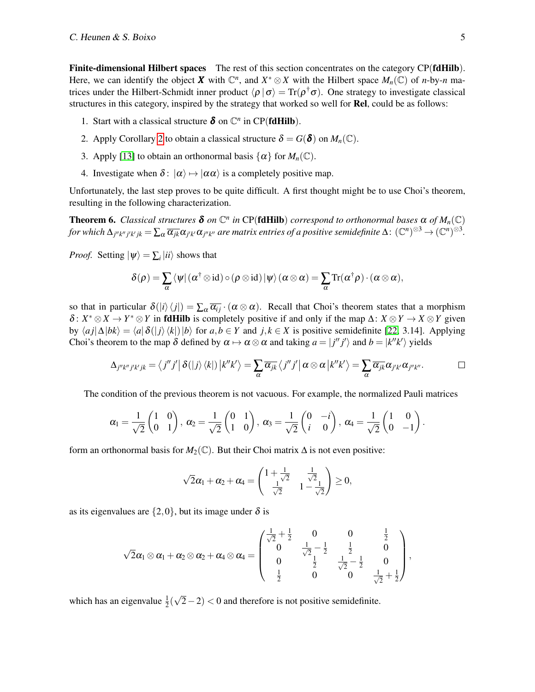Finite-dimensional Hilbert spaces The rest of this section concentrates on the category CP(fdHilb). Here, we can identify the object *X* with  $\mathbb{C}^n$ , and  $X^* \otimes X$  with the Hilbert space  $M_n(\mathbb{C})$  of *n*-by-*n* matrices under the Hilbert-Schmidt inner product  $\langle \rho | \sigma \rangle = \text{Tr}(\rho^{\dagger} \sigma)$ . One strategy to investigate classical structures in this category, inspired by the strategy that worked so well for **Rel**, could be as follows:

- 1. Start with a classical structure  $\delta$  on  $\mathbb{C}^n$  in CP(**fdHilb**).
- 2. Apply Corollary [2](#page-2-1) to obtain a classical structure  $\delta = G(\delta)$  on  $M_n(\mathbb{C})$ .
- 3. Apply [\[13\]](#page-9-2) to obtain an orthonormal basis  $\{\alpha\}$  for  $M_n(\mathbb{C})$ .
- 4. Investigate when  $\delta$ :  $|\alpha\rangle \mapsto |\alpha\alpha\rangle$  is a completely positive map.

Unfortunately, the last step proves to be quite difficult. A first thought might be to use Choi's theorem, resulting in the following characterization.

<span id="page-4-0"></span>**Theorem 6.** *Classical structures*  $\delta$  *on*  $\mathbb{C}^n$  *in* CP(**fdHilb**) *correspond to orthonormal bases*  $\alpha$  *of*  $M_n(\mathbb{C})$ for which  $\Delta_{j''k''j'k'jk}=\sum_{\alpha}\overline{\alpha_{jk}}\alpha_{j'k'}\alpha_{j''k''}$  are matrix entries of a positive semidefinite  $\Delta\colon(\mathbb{C}^n)^{\otimes 3}\to(\mathbb{C}^n)^{\otimes 3}.$ 

*Proof.* Setting  $|\psi\rangle = \sum_i |ii\rangle$  shows that

$$
\delta(\rho) = \sum_{\alpha} \langle \psi | (\alpha^{\dagger} \otimes \mathrm{id}) \circ (\rho \otimes \mathrm{id}) | \psi \rangle (\alpha \otimes \alpha) = \sum_{\alpha} \mathrm{Tr}(\alpha^{\dagger} \rho) \cdot (\alpha \otimes \alpha),
$$

so that in particular  $\delta(|i\rangle\langle j|) = \sum_{\alpha} \overline{\alpha_{ij}} \cdot (\alpha \otimes \alpha)$ . Recall that Choi's theorem states that a morphism  $\delta: X^* \otimes X \to Y^* \otimes Y$  in **fdHilb** is completely positive if and only if the map  $\Delta: X \otimes Y \to X \otimes Y$  given by  $\langle aj|\Delta|bk\rangle = \langle a|\delta(|j\rangle\langle k|)|b\rangle$  for  $a,b \in Y$  and  $j,k \in X$  is positive semidefinite [\[22,](#page-10-3) 3.14]. Applying Choi's theorem to the map  $\delta$  defined by  $\alpha \mapsto \alpha \otimes \alpha$  and taking  $a = |j''j'\rangle$  and  $b = |k''k'\rangle$  yields

$$
\Delta_{j''k''j'k'jk} = \langle j''j' | \delta(|j\rangle\langle k|) |k''k'\rangle = \sum_{\alpha} \overline{\alpha_{jk}} \langle j''j' | \alpha \otimes \alpha |k''k'\rangle = \sum_{\alpha} \overline{\alpha_{jk}} \alpha_{j'k'} \alpha_{j''k''}.
$$

The condition of the previous theorem is not vacuous. For example, the normalized Pauli matrices

$$
\alpha_1 = \frac{1}{\sqrt{2}} \begin{pmatrix} 1 & 0 \\ 0 & 1 \end{pmatrix}, \ \alpha_2 = \frac{1}{\sqrt{2}} \begin{pmatrix} 0 & 1 \\ 1 & 0 \end{pmatrix}, \ \alpha_3 = \frac{1}{\sqrt{2}} \begin{pmatrix} 0 & -i \\ i & 0 \end{pmatrix}, \ \alpha_4 = \frac{1}{\sqrt{2}} \begin{pmatrix} 1 & 0 \\ 0 & -1 \end{pmatrix}.
$$

form an orthonormal basis for  $M_2(\mathbb{C})$ . But their Choi matrix  $\Delta$  is not even positive:

$$
\sqrt{2}\alpha_1+\alpha_2+\alpha_4=\begin{pmatrix}1+\frac{1}{\sqrt{2}}&\frac{1}{\sqrt{2}}\\ \frac{1}{\sqrt{2}}&1-\frac{1}{\sqrt{2}}\end{pmatrix}\geq 0,
$$

as its eigenvalues are  $\{2,0\}$ , but its image under  $\delta$  is

$$
\sqrt{2}\alpha_1\otimes \alpha_1+\alpha_2\otimes \alpha_2+\alpha_4\otimes \alpha_4=\left(\begin{matrix} \frac{1}{\sqrt{2}}+\frac{1}{2} & 0 & 0 & \frac{1}{2} \\ 0 & \frac{1}{\sqrt{2}}-\frac{1}{2} & \frac{1}{2} & 0 \\ 0 & \frac{1}{2} & \frac{1}{\sqrt{2}}-\frac{1}{2} & 0 \\ \frac{1}{2} & 0 & 0 & \frac{1}{\sqrt{2}}+\frac{1}{2} \end{matrix}\right),
$$

which has an eigenvalue  $\frac{1}{2}$ ( √  $(2-2) < 0$  and therefore is not positive semidefinite.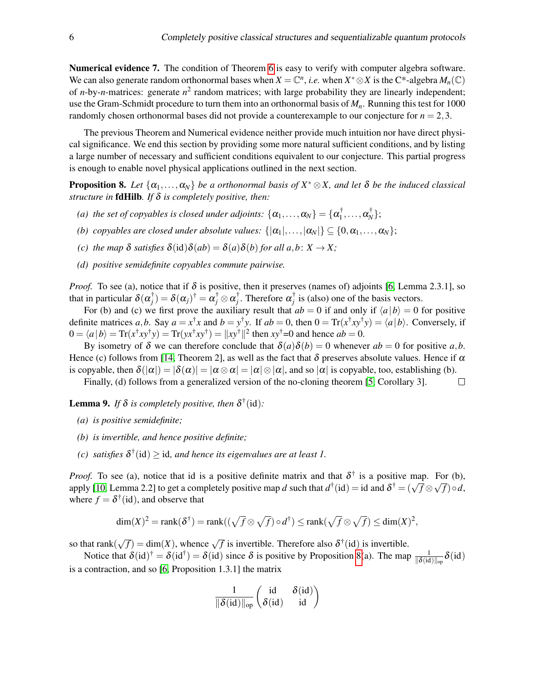Numerical evidence 7. The condition of Theorem [6](#page-4-0) is easy to verify with computer algebra software. We can also generate random orthonormal bases when  $X = \mathbb{C}^n$ , *i.e.* when  $X^* \otimes X$  is the C\*-algebra  $M_n(\mathbb{C})$ of *n*-by-*n*-matrices: generate *n* 2 random matrices; with large probability they are linearly independent; use the Gram-Schmidt procedure to turn them into an orthonormal basis of *Mn*. Running this test for 1000 randomly chosen orthonormal bases did not provide a counterexample to our conjecture for  $n = 2,3$ .

The previous Theorem and Numerical evidence neither provide much intuition nor have direct physical significance. We end this section by providing some more natural sufficient conditions, and by listing a large number of necessary and sufficient conditions equivalent to our conjecture. This partial progress is enough to enable novel physical applications outlined in the next section.

<span id="page-5-0"></span>**Proposition 8.** Let  $\{\alpha_1, \dots, \alpha_N\}$  be a orthonormal basis of  $X^* \otimes X$ , and let  $\delta$  be the induced classical *structure in* fdHilb*. If* δ *is completely positive, then:*

- *(a) the set of copyables is closed under adjoints:*  $\{\alpha_1, \ldots, \alpha_N\} = \{\alpha_1^{\dagger}$  $\alpha^\dagger_N,\ldots,\alpha^\dagger_N\};$
- *(b) copyables are closed under absolute values:*  $\{|\alpha_1|, ..., |\alpha_N|\} \subseteq \{0, \alpha_1, ..., \alpha_N\};$
- *(c) the map*  $\delta$  *satisfies*  $\delta(id)\delta(ab) = \delta(a)\delta(b)$  *for all a,b:*  $X \rightarrow X$ *;*
- *(d) positive semidefinite copyables commute pairwise.*

*Proof.* To see (a), notice that if  $\delta$  is positive, then it preserves (names of) adjoints [\[6,](#page-9-9) Lemma 2.3.1], so that in particular  $\delta(\alpha_j^{\dagger}) = \delta(\alpha_j)^{\dagger} = \alpha_j^{\dagger} \otimes \alpha_j^{\dagger}$ . Therefore  $\alpha_j^{\dagger}$  is (also) one of the basis vectors.

For (b) and (c) we first prove the auxiliary result that  $ab = 0$  if and only if  $\langle a | b \rangle = 0$  for positive definite matrices *a*,*b*. Say  $a = x^{\dagger}x$  and  $b = y^{\dagger}y$ . If  $ab = 0$ , then  $0 = \text{Tr}(x^{\dagger}xy^{\dagger}y) = \langle a|b \rangle$ . Conversely, if  $0 = \langle a | b \rangle = \text{Tr}(x^{\dagger}xy^{\dagger}y) = \text{Tr}(yx^{\dagger}xy^{\dagger}) = ||xy^{\dagger}||^2$  then  $xy^{\dagger} = 0$  and hence  $ab = 0$ .

By isometry of  $\delta$  we can therefore conclude that  $\delta(a)\delta(b) = 0$  whenever  $ab = 0$  for positive a,b. Hence (c) follows from [\[14,](#page-9-10) Theorem 2], as well as the fact that  $\delta$  preserves absolute values. Hence if  $\alpha$ is copyable, then  $\delta(|\alpha|) = |\delta(\alpha)| = |\alpha \otimes \alpha| = |\alpha| \otimes |\alpha|$ , and so  $|\alpha|$  is copyable, too, establishing (b).

Finally, (d) follows from a generalized version of the no-cloning theorem [\[5,](#page-9-11) Corollary 3].  $\Box$ 

<span id="page-5-1"></span>**Lemma 9.** If  $\delta$  is completely positive, then  $\delta^{\dagger}(\text{id})$ :

- *(a) is positive semidefinite;*
- *(b) is invertible, and hence positive definite;*
- *(c)* satisfies  $\delta^{\dagger}(\text{id}) \geq \text{id}$ , and hence its eigenvalues are at least 1.

*Proof.* To see (a), notice that id is a positive definite matrix and that  $\delta^{\dagger}$  is a positive map. For (b), apply [\[10,](#page-9-12) Lemma 2.2] to get a completely positive map *d* such that  $d^{\dagger}$  (id) = id and  $\delta^{\dagger} = (\sqrt{f} \otimes f)^{\dagger}$ √ *f*)◦*d*, where  $f = \delta^{\dagger}(\text{id})$ , and observe that

$$
\dim(X)^2 = \text{rank}(\delta^{\dagger}) = \text{rank}((\sqrt{f} \otimes \sqrt{f}) \circ d^{\dagger}) \leq \text{rank}(\sqrt{f} \otimes \sqrt{f}) \leq \dim(X)^2,
$$

so that rank(  $\sqrt{f}$ ) = dim(*X*), whence  $\sqrt{f}$  is invertible. Therefore also  $\delta^{\dagger}$  (id) is invertible.

Notice that  $\delta(\mathrm{id})^{\dagger} = \delta(\mathrm{id}^{\dagger}) = \delta(\mathrm{id})$  since  $\delta$  is positive by Proposition [8\(](#page-5-0)a). The map  $\frac{1}{\|\delta(\mathrm{id})\|_{\text{op}}} \delta(\mathrm{id})$ is a contraction, and so [\[6,](#page-9-9) Proposition 1.3.1] the matrix

$$
\frac{1}{\|\boldsymbol{\delta}(\mathrm{id})\|_{\mathrm{op}}} \begin{pmatrix} \mathrm{id} & \boldsymbol{\delta}(\mathrm{id}) \\ \boldsymbol{\delta}(\mathrm{id}) & \mathrm{id} \end{pmatrix}
$$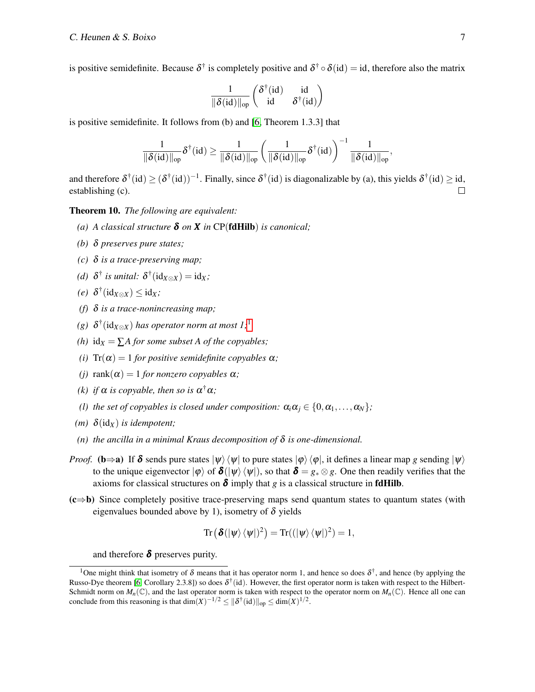is positive semidefinite. Because  $\delta^{\dagger}$  is completely positive and  $\delta^{\dagger} \circ \delta(id) = id$ , therefore also the matrix

$$
\frac{1}{\|\boldsymbol{\delta}(\mathrm{id})\|_{op}} \begin{pmatrix} \boldsymbol{\delta}^\dagger(\mathrm{id}) & \mathrm{id} \\ \mathrm{id} & \boldsymbol{\delta}^\dagger(\mathrm{id}) \end{pmatrix}
$$

is positive semidefinite. It follows from (b) and [\[6,](#page-9-9) Theorem 1.3.3] that

$$
\frac{1}{\|\boldsymbol{\delta}(\mathrm{id})\|_{\mathrm{op}}}\boldsymbol{\delta}^{\dagger}(\mathrm{id})\geq \frac{1}{\|\boldsymbol{\delta}(\mathrm{id})\|_{\mathrm{op}}}\left(\frac{1}{\|\boldsymbol{\delta}(\mathrm{id})\|_{\mathrm{op}}}\boldsymbol{\delta}^{\dagger}(\mathrm{id})\right)^{-1}\frac{1}{\|\boldsymbol{\delta}(\mathrm{id})\|_{\mathrm{op}}},
$$

and therefore  $\delta^{\dagger}(\text{id}) \geq (\delta^{\dagger}(\text{id}))^{-1}$ . Finally, since  $\delta^{\dagger}(\text{id})$  is diagonalizable by (a), this yields  $\delta^{\dagger}(\text{id}) \geq \text{id}$ , establishing (c).  $\Box$ 

<span id="page-6-1"></span>Theorem 10. *The following are equivalent:*

- *(a) A classical structure* δ *on X in* CP(fdHilb) *is canonical;*
- *(b)* δ *preserves pure states;*
- *(c)* δ *is a trace-preserving map;*
- *(d)*  $\delta^{\dagger}$  *is unital:*  $\delta^{\dagger}$  ( $id_{X \otimes X}$ ) =  $id_X$ ;
- $(e)$   $\delta^{\dagger}(\text{id}_{X \otimes X}) \leq \text{id}_X$ ;
- *(f)* δ *is a trace-nonincreasing map;*
- *(g)* δ † (id*X*⊗*<sup>X</sup>* ) *has operator norm at most 1;*[1](#page-6-0)
- *(h)*  $id_X = \sum A$  *for some subset A of the copyables;*
- *(i)*  $Tr(\alpha) = 1$  *for positive semidefinite copyables*  $\alpha$ *;*
- *(j)* rank $(\alpha) = 1$  *for nonzero copyables*  $\alpha$ *;*
- (k) *if*  $\alpha$  *is copyable, then so is*  $\alpha^{\dagger} \alpha$ *;*
- *(l) the set of copyables is closed under composition:*  $\alpha_i \alpha_j \in \{0, \alpha_1, \ldots, \alpha_N\}$ ;
- *(m)*  $\delta$ (id<sub>*X*</sub>) *is idempotent*;
- (*n*) *the ancilla in a minimal Kraus decomposition of*  $\delta$  *is one-dimensional.*
- *Proof.* (b⇒a) If  $\delta$  sends pure states  $|\psi\rangle\langle\psi|$  to pure states  $|\varphi\rangle\langle\varphi|$ , it defines a linear map *g* sending  $|\psi\rangle$ to the unique eigenvector  $|\varphi\rangle$  of  $\delta(|\psi\rangle \langle \psi|)$ , so that  $\delta = g_* \otimes g$ . One then readily verifies that the axioms for classical structures on  $\delta$  imply that *g* is a classical structure in **fdHilb**.
- (c⇒b) Since completely positive trace-preserving maps send quantum states to quantum states (with eigenvalues bounded above by 1), isometry of  $\delta$  yields

$$
\mathrm{Tr}\left(\boldsymbol{\delta}(|\psi\rangle\langle\psi|)^2\right)=\mathrm{Tr}((|\psi\rangle\langle\psi|)^2)=1,
$$

and therefore  $\delta$  preserves purity.

<span id="page-6-0"></span><sup>&</sup>lt;sup>1</sup>One might think that isometry of  $\delta$  means that it has operator norm 1, and hence so does  $\delta^{\dagger}$ , and hence (by applying the Russo-Dye theorem [\[6,](#page-9-9) Corollary 2.3.8]) so does  $\delta^{\dagger}$  (id). However, the first operator norm is taken with respect to the Hilbert-Schmidt norm on  $M_n(\mathbb{C})$ , and the last operator norm is taken with respect to the operator norm on  $M_n(\mathbb{C})$ . Hence all one can conclude from this reasoning is that  $\dim(X)^{-1/2} \leq ||\delta^{\dagger}(\mathrm{id})||_{\mathrm{op}} \leq \dim(X)^{1/2}$ .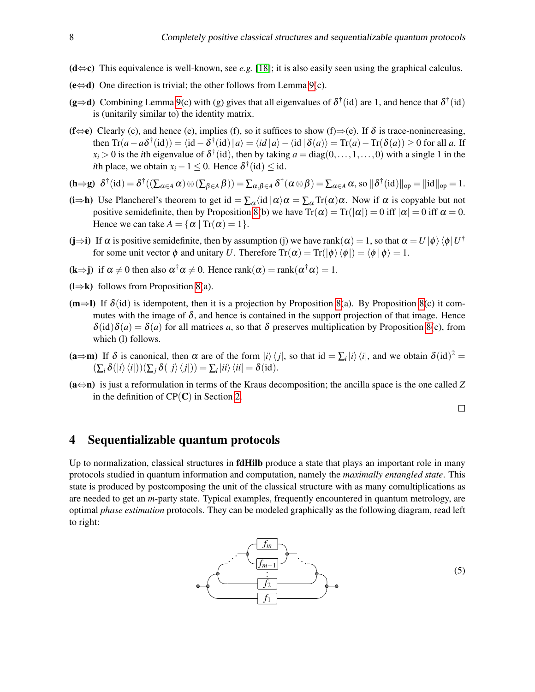- (d⇔c) This equivalence is well-known, see *e.g.* [\[18\]](#page-9-13); it is also easily seen using the graphical calculus.
- $(e \Leftrightarrow d)$  One direction is trivial; the other follows from Lemma [9\(](#page-5-1)c).
- $(g\Rightarrow d)$  Combining Lemma [9\(](#page-5-1)c) with (g) gives that all eigenvalues of  $\delta^{\dagger}$  (id) are 1, and hence that  $\delta^{\dagger}$  (id) is (unitarily similar to) the identity matrix.
- (f $\Leftrightarrow$ e) Clearly (c), and hence (e), implies (f), so it suffices to show (f)⇒(e). If  $\delta$  is trace-nonincreasing, then  $\text{Tr}(a - a\delta^{\dagger}(\text{id})) = \langle \text{id} - \delta^{\dagger}(\text{id}) | a \rangle = \langle \text{id} | a \rangle - \langle \text{id} | \delta(a) \rangle = \text{Tr}(a) - \text{Tr}(\delta(a)) \ge 0$  for all *a*. If  $x_i > 0$  is the *i*th eigenvalue of  $\delta^{\dagger}$  (id), then by taking  $a = diag(0, \ldots, 1, \ldots, 0)$  with a single 1 in the *i*th place, we obtain  $x_i - 1 \le 0$ . Hence  $\delta^{\dagger}(\text{id}) \le \text{id}$ .

$$
(\mathbf{h} \Rightarrow \mathbf{g}) \quad \delta^{\dagger}(\mathrm{id}) = \delta^{\dagger}((\sum_{\alpha \in A} \alpha) \otimes (\sum_{\beta \in A} \beta)) = \sum_{\alpha, \beta \in A} \delta^{\dagger}(\alpha \otimes \beta) = \sum_{\alpha \in A} \alpha, \text{ so } \|\delta^{\dagger}(\mathrm{id})\|_{op} = \|\mathrm{id}\|_{op} = 1.
$$

- (i⇒h) Use Plancherel's theorem to get id =  $\sum_{\alpha}$  (id  $|\alpha\rangle \alpha = \sum_{\alpha} Tr(\alpha) \alpha$ . Now if  $\alpha$  is copyable but not positive semidefinite, then by Proposition [8\(](#page-5-0)b) we have  $Tr(\alpha) = Tr(|\alpha|) = 0$  iff  $|\alpha| = 0$  iff  $\alpha = 0$ . Hence we can take  $A = \{ \alpha \mid \text{Tr}(\alpha) = 1 \}.$
- (j⇒i) If  $\alpha$  is positive semidefinite, then by assumption (j) we have rank $(\alpha) = 1$ , so that  $\alpha = U |\phi\rangle \langle \phi| U^{\dagger}$ for some unit vector  $\phi$  and unitary *U*. Therefore  $Tr(\alpha) = Tr(\ket{\phi}\bra{\phi}) = \bra{\phi}\phi = 1$ .
- $(k\Rightarrow j)$  if  $\alpha \neq 0$  then also  $\alpha^{\dagger} \alpha \neq 0$ . Hence rank $(\alpha) = \text{rank}(\alpha^{\dagger} \alpha) = 1$ .
- $(l\Rightarrow k)$  follows from Proposition [8\(](#page-5-0)a).
- $(m\Rightarrow I)$  If  $\delta(id)$  is idempotent, then it is a projection by Proposition [8\(](#page-5-0)a). By Proposition 8(c) it commutes with the image of  $\delta$ , and hence is contained in the support projection of that image. Hence  $\delta(id)\delta(a) = \delta(a)$  for all matrices *a*, so that  $\delta$  preserves multiplication by Proposition [8\(](#page-5-0)c), from which (l) follows.
- $(a \Rightarrow m)$  If  $\delta$  is canonical, then  $\alpha$  are of the form  $|i\rangle\langle j|$ , so that id  $= \sum_i |i\rangle\langle i|$ , and we obtain  $\delta(\mathrm{id})^2 =$  $(\sum_i \delta(|i\rangle\langle i|))(\sum_j \delta(|j\rangle\langle j|)) = \sum_i |ii\rangle\langle ii| = \delta(id).$
- (a⇔n) is just a reformulation in terms of the Kraus decomposition; the ancilla space is the one called *Z* in the definition of  $CP(C)$  in Section [2.](#page-1-0)

<span id="page-7-1"></span> $\Box$ 

#### <span id="page-7-0"></span>4 Sequentializable quantum protocols

Up to normalization, classical structures in **fdHilb** produce a state that plays an important role in many protocols studied in quantum information and computation, namely the *maximally entangled state*. This state is produced by postcomposing the unit of the classical structure with as many comultiplications as are needed to get an *m*-party state. Typical examples, frequently encountered in quantum metrology, are optimal *phase estimation* protocols. They can be modeled graphically as the following diagram, read left to right:

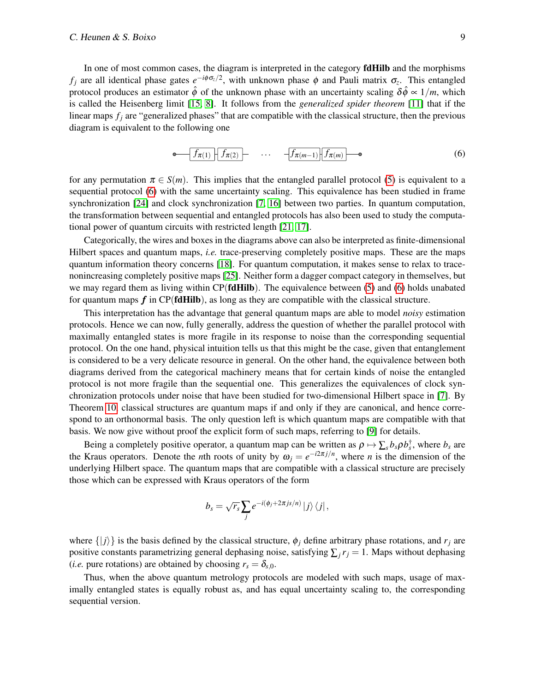In one of most common cases, the diagram is interpreted in the category **fdHilb** and the morphisms *f<sub>j</sub>* are all identical phase gates  $e^{-i\phi \sigma_z/2}$ , with unknown phase φ and Pauli matrix  $\sigma_z$ . This entangled protocol produces an estimator  $\hat{\phi}$  of the unknown phase with an uncertainty scaling  $\delta \hat{\phi} \propto 1/m$ , which is called the Heisenberg limit [\[15,](#page-9-4) [8\]](#page-9-14). It follows from the *generalized spider theorem* [\[11\]](#page-9-15) that if the linear maps  $f_i$  are "generalized phases" that are compatible with the classical structure, then the previous diagram is equivalent to the following one

<span id="page-8-0"></span>
$$
\bullet \quad \boxed{f_{\pi(1)} \mid f_{\pi(2)}} \qquad \cdots \qquad \boxed{f_{\pi(m-1)} \mid f_{\pi(m)}} \qquad \bullet \qquad (6)
$$

for any permutation  $\pi \in S(m)$ . This implies that the entangled parallel protocol [\(5\)](#page-7-1) is equivalent to a sequential protocol [\(6\)](#page-8-0) with the same uncertainty scaling. This equivalence has been studied in frame synchronization [\[24\]](#page-10-4) and clock synchronization [\[7,](#page-9-16) [16\]](#page-9-17) between two parties. In quantum computation, the transformation between sequential and entangled protocols has also been used to study the computational power of quantum circuits with restricted length [\[21,](#page-9-18) [17\]](#page-9-19).

Categorically, the wires and boxes in the diagrams above can also be interpreted as finite-dimensional Hilbert spaces and quantum maps, *i.e.* trace-preserving completely positive maps. These are the maps quantum information theory concerns [\[18\]](#page-9-13). For quantum computation, it makes sense to relax to tracenonincreasing completely positive maps [\[25\]](#page-10-5). Neither form a dagger compact category in themselves, but we may regard them as living within CP(**fdHilb**). The equivalence between [\(5\)](#page-7-1) and [\(6\)](#page-8-0) holds unabated for quantum maps  $f$  in CP( $fdHilb$ ), as long as they are compatible with the classical structure.

This interpretation has the advantage that general quantum maps are able to model *noisy* estimation protocols. Hence we can now, fully generally, address the question of whether the parallel protocol with maximally entangled states is more fragile in its response to noise than the corresponding sequential protocol. On the one hand, physical intuition tells us that this might be the case, given that entanglement is considered to be a very delicate resource in general. On the other hand, the equivalence between both diagrams derived from the categorical machinery means that for certain kinds of noise the entangled protocol is not more fragile than the sequential one. This generalizes the equivalences of clock synchronization protocols under noise that have been studied for two-dimensional Hilbert space in [\[7\]](#page-9-16). By Theorem [10,](#page-6-1) classical structures are quantum maps if and only if they are canonical, and hence correspond to an orthonormal basis. The only question left is which quantum maps are compatible with that basis. We now give without proof the explicit form of such maps, referring to [\[9\]](#page-9-20) for details.

Being a completely positive operator, a quantum map can be written as  $\rho \mapsto \sum_s b_s \rho b_s^{\dagger}$ , where  $b_s$  are the Kraus operators. Denote the *n*th roots of unity by  $\omega_j = e^{-i2\pi j/n}$ , where *n* is the dimension of the underlying Hilbert space. The quantum maps that are compatible with a classical structure are precisely those which can be expressed with Kraus operators of the form

$$
b_s = \sqrt{r_s} \sum_j e^{-i(\phi_j + 2\pi js/n)} |j\rangle \langle j|,
$$

where  $\{|j\rangle\}$  is the basis defined by the classical structure,  $\phi_j$  define arbitrary phase rotations, and  $r_j$  are positive constants parametrizing general dephasing noise, satisfying  $\sum_j r_j = 1$ . Maps without dephasing (*i.e.* pure rotations) are obtained by choosing  $r_s = \delta_{s,0}$ .

Thus, when the above quantum metrology protocols are modeled with such maps, usage of maximally entangled states is equally robust as, and has equal uncertainty scaling to, the corresponding sequential version.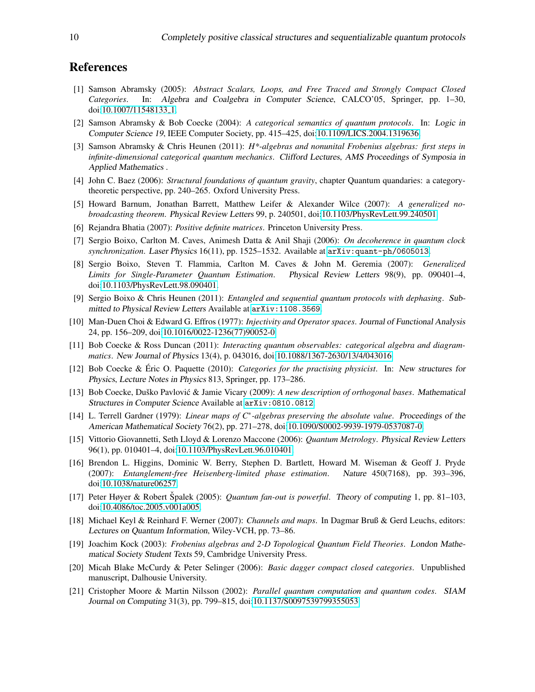### References

- <span id="page-9-8"></span>[1] Samson Abramsky (2005): *Abstract Scalars, Loops, and Free Traced and Strongly Compact Closed Categories*. In: Algebra and Coalgebra in Computer Science, CALCO'05, Springer, pp. 1–30, doi[:10.1007/11548133](http://dx.doi.org/10.1007/11548133_1) 1.
- <span id="page-9-0"></span>[2] Samson Abramsky & Bob Coecke (2004): *A categorical semantics of quantum protocols*. In: Logic in Computer Science 19, IEEE Computer Society, pp. 415–425, doi[:10.1109/LICS.2004.1319636.](http://dx.doi.org/10.1109/LICS.2004.1319636)
- <span id="page-9-3"></span>[3] Samson Abramsky & Chris Heunen (2011): *H\*-algebras and nonunital Frobenius algebras: first steps in infinite-dimensional categorical quantum mechanics*. Clifford Lectures, AMS Proceedings of Symposia in Applied Mathematics .
- <span id="page-9-7"></span>[4] John C. Baez (2006): *Structural foundations of quantum gravity*, chapter Quantum quandaries: a categorytheoretic perspective, pp. 240–265. Oxford University Press.
- <span id="page-9-11"></span>[5] Howard Barnum, Jonathan Barrett, Matthew Leifer & Alexander Wilce (2007): *A generalized nobroadcasting theorem*. Physical Review Letters 99, p. 240501, doi[:10.1103/PhysRevLett.99.240501.](http://dx.doi.org/10.1103/PhysRevLett.99.240501)
- <span id="page-9-9"></span>[6] Rejandra Bhatia (2007): *Positive definite matrices*. Princeton University Press.
- <span id="page-9-16"></span>[7] Sergio Boixo, Carlton M. Caves, Animesh Datta & Anil Shaji (2006): *On decoherence in quantum clock synchronization*. Laser Physics 16(11), pp. 1525–1532. Available at <arXiv:quant-ph/0605013>.
- <span id="page-9-14"></span>[8] Sergio Boixo, Steven T. Flammia, Carlton M. Caves & John M. Geremia (2007): *Generalized Limits for Single-Parameter Quantum Estimation*. Physical Review Letters 98(9), pp. 090401–4, doi[:10.1103/PhysRevLett.98.090401.](http://dx.doi.org/10.1103/PhysRevLett.98.090401)
- <span id="page-9-20"></span>[9] Sergio Boixo & Chris Heunen (2011): *Entangled and sequential quantum protocols with dephasing*. Submitted to Physical Review Letters Available at <arXiv:1108.3569>.
- <span id="page-9-12"></span>[10] Man-Duen Choi & Edward G. Effros (1977): *Injectivity and Operator spaces*. Journal of Functional Analysis 24, pp. 156–209, doi[:10.1016/0022-1236\(77\)90052-0.](http://dx.doi.org/10.1016/0022-1236(77)90052-0)
- <span id="page-9-15"></span>[11] Bob Coecke & Ross Duncan (2011): *Interacting quantum observables: categorical algebra and diagrammatics*. New Journal of Physics 13(4), p. 043016, doi[:10.1088/1367-2630/13/4/043016.](http://dx.doi.org/10.1088/1367-2630/13/4/043016)
- <span id="page-9-1"></span>[12] Bob Coecke & Eric O. Paquette (2010): ´ *Categories for the practising physicist*. In: New structures for Physics, Lecture Notes in Physics 813, Springer, pp. 173–286.
- <span id="page-9-2"></span>[13] Bob Coecke, Duško Pavlović & Jamie Vicary (2009): A new description of orthogonal bases. Mathematical Structures in Computer Science Available at <arXiv:0810.0812>.
- <span id="page-9-10"></span>[14] L. Terrell Gardner (1979): *Linear maps of C*<sup>∗</sup> *-algebras preserving the absolute value*. Proceedings of the American Mathematical Society 76(2), pp. 271–278, doi[:10.1090/S0002-9939-1979-0537087-0.](http://dx.doi.org/10.1090/S0002-9939-1979-0537087-0)
- <span id="page-9-4"></span>[15] Vittorio Giovannetti, Seth Lloyd & Lorenzo Maccone (2006): *Quantum Metrology*. Physical Review Letters 96(1), pp. 010401–4, doi[:10.1103/PhysRevLett.96.010401.](http://dx.doi.org/10.1103/PhysRevLett.96.010401)
- <span id="page-9-17"></span>[16] Brendon L. Higgins, Dominic W. Berry, Stephen D. Bartlett, Howard M. Wiseman & Geoff J. Pryde (2007): *Entanglement-free Heisenberg-limited phase estimation*. Nature 450(7168), pp. 393–396, doi[:10.1038/nature06257.](http://dx.doi.org/10.1038/nature06257)
- <span id="page-9-19"></span>[17] Peter Høyer & Robert Špalek (2005): *Quantum fan-out is powerful.* Theory of computing 1, pp. 81–103, doi[:10.4086/toc.2005.v001a005.](http://dx.doi.org/10.4086/toc.2005.v001a005)
- <span id="page-9-13"></span>[18] Michael Keyl & Reinhard F. Werner (2007): *Channels and maps*. In Dagmar Bruß & Gerd Leuchs, editors: Lectures on Quantum Information, Wiley-VCH, pp. 73–86.
- <span id="page-9-6"></span>[19] Joachim Kock (2003): *Frobenius algebras and 2-D Topological Quantum Field Theories*. London Mathematical Society Student Texts 59, Cambridge University Press.
- <span id="page-9-5"></span>[20] Micah Blake McCurdy & Peter Selinger (2006): *Basic dagger compact closed categories*. Unpublished manuscript, Dalhousie University.
- <span id="page-9-18"></span>[21] Cristopher Moore & Martin Nilsson (2002): *Parallel quantum computation and quantum codes*. SIAM Journal on Computing 31(3), pp. 799–815, doi[:10.1137/S0097539799355053.](http://dx.doi.org/10.1137/S0097539799355053)